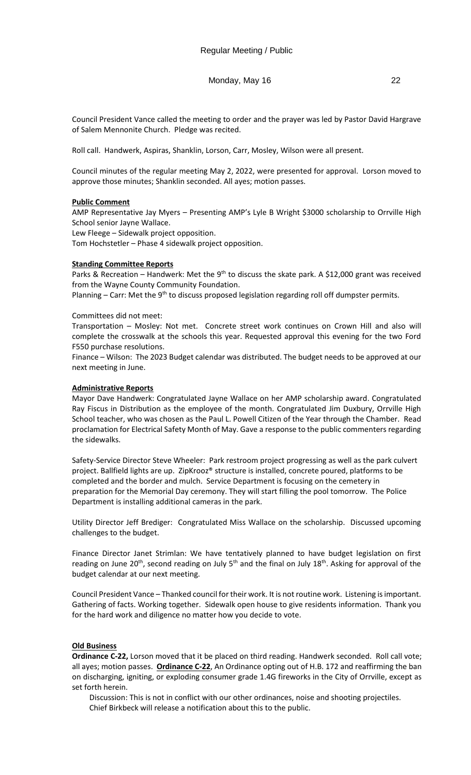# Monday, May 16 22

Council President Vance called the meeting to order and the prayer was led by Pastor David Hargrave of Salem Mennonite Church. Pledge was recited.

Roll call. Handwerk, Aspiras, Shanklin, Lorson, Carr, Mosley, Wilson were all present.

Council minutes of the regular meeting May 2, 2022, were presented for approval. Lorson moved to approve those minutes; Shanklin seconded. All ayes; motion passes.

# **Public Comment**

AMP Representative Jay Myers – Presenting AMP's Lyle B Wright \$3000 scholarship to Orrville High School senior Jayne Wallace.

Lew Fleege – Sidewalk project opposition.

Tom Hochstetler – Phase 4 sidewalk project opposition.

# **Standing Committee Reports**

Parks & Recreation – Handwerk: Met the 9<sup>th</sup> to discuss the skate park. A \$12,000 grant was received from the Wayne County Community Foundation.

Planning – Carr: Met the 9<sup>th</sup> to discuss proposed legislation regarding roll off dumpster permits.

# Committees did not meet:

Transportation – Mosley: Not met. Concrete street work continues on Crown Hill and also will complete the crosswalk at the schools this year. Requested approval this evening for the two Ford F550 purchase resolutions.

Finance – Wilson: The 2023 Budget calendar was distributed. The budget needs to be approved at our next meeting in June.

## **Administrative Reports**

Mayor Dave Handwerk: Congratulated Jayne Wallace on her AMP scholarship award. Congratulated Ray Fiscus in Distribution as the employee of the month. Congratulated Jim Duxbury, Orrville High School teacher, who was chosen as the Paul L. Powell Citizen of the Year through the Chamber. Read proclamation for Electrical Safety Month of May. Gave a response to the public commenters regarding the sidewalks.

Safety-Service Director Steve Wheeler: Park restroom project progressing as well as the park culvert project. Ballfield lights are up. ZipKrooz® structure is installed, concrete poured, platforms to be completed and the border and mulch. Service Department is focusing on the cemetery in preparation for the Memorial Day ceremony. They will start filling the pool tomorrow. The Police Department is installing additional cameras in the park.

Utility Director Jeff Brediger: Congratulated Miss Wallace on the scholarship. Discussed upcoming challenges to the budget.

Finance Director Janet Strimlan: We have tentatively planned to have budget legislation on first reading on June 20<sup>th</sup>, second reading on July 5<sup>th</sup> and the final on July 18<sup>th</sup>. Asking for approval of the budget calendar at our next meeting.

Council President Vance – Thanked council for their work. It is not routine work. Listening is important. Gathering of facts. Working together. Sidewalk open house to give residents information. Thank you for the hard work and diligence no matter how you decide to vote.

# **Old Business**

**Ordinance C-22,** Lorson moved that it be placed on third reading. Handwerk seconded. Roll call vote; all ayes; motion passes. **Ordinance C-22**, An Ordinance opting out of H.B. 172 and reaffirming the ban on discharging, igniting, or exploding consumer grade 1.4G fireworks in the City of Orrville, except as set forth herein.

Discussion: This is not in conflict with our other ordinances, noise and shooting projectiles. Chief Birkbeck will release a notification about this to the public.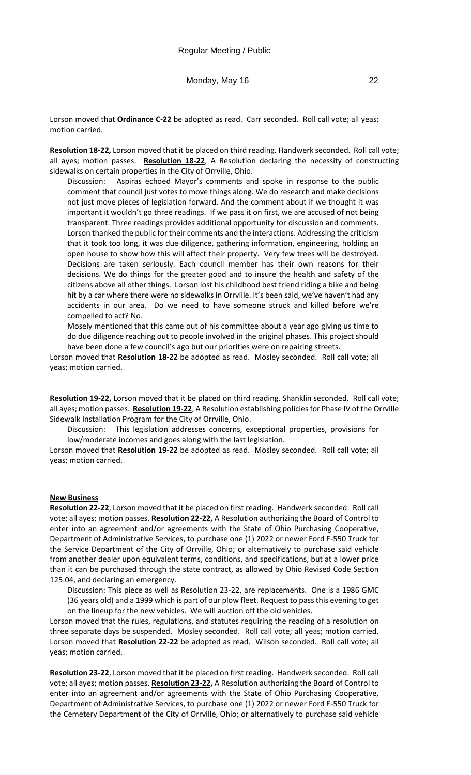Monday, May 16 22

Lorson moved that **Ordinance C-22** be adopted as read. Carr seconded. Roll call vote; all yeas; motion carried.

**Resolution 18-22,** Lorson moved that it be placed on third reading. Handwerk seconded. Roll call vote; all ayes; motion passes. **Resolution 18-22**, A Resolution declaring the necessity of constructing sidewalks on certain properties in the City of Orrville, Ohio.

Discussion: Aspiras echoed Mayor's comments and spoke in response to the public comment that council just votes to move things along. We do research and make decisions not just move pieces of legislation forward. And the comment about if we thought it was important it wouldn't go three readings. If we pass it on first, we are accused of not being transparent. Three readings provides additional opportunity for discussion and comments. Lorson thanked the public for their comments and the interactions. Addressing the criticism that it took too long, it was due diligence, gathering information, engineering, holding an open house to show how this will affect their property. Very few trees will be destroyed. Decisions are taken seriously. Each council member has their own reasons for their decisions. We do things for the greater good and to insure the health and safety of the citizens above all other things. Lorson lost his childhood best friend riding a bike and being hit by a car where there were no sidewalks in Orrville. It's been said, we've haven't had any accidents in our area. Do we need to have someone struck and killed before we're compelled to act? No.

Mosely mentioned that this came out of his committee about a year ago giving us time to do due diligence reaching out to people involved in the original phases. This project should have been done a few council's ago but our priorities were on repairing streets.

Lorson moved that **Resolution 18-22** be adopted as read. Mosley seconded. Roll call vote; all yeas; motion carried.

**Resolution 19-22,** Lorson moved that it be placed on third reading. Shanklin seconded. Roll call vote; all ayes; motion passes. **Resolution 19-22**, A Resolution establishing policies for Phase IV of the Orrville Sidewalk Installation Program for the City of Orrville, Ohio.

Discussion: This legislation addresses concerns, exceptional properties, provisions for low/moderate incomes and goes along with the last legislation.

Lorson moved that **Resolution 19-22** be adopted as read. Mosley seconded. Roll call vote; all yeas; motion carried.

#### **New Business**

**Resolution 22-22**, Lorson moved that it be placed on first reading. Handwerk seconded. Roll call vote; all ayes; motion passes. **Resolution 22-22,** A Resolution authorizing the Board of Control to enter into an agreement and/or agreements with the State of Ohio Purchasing Cooperative, Department of Administrative Services, to purchase one (1) 2022 or newer Ford F-550 Truck for the Service Department of the City of Orrville, Ohio; or alternatively to purchase said vehicle from another dealer upon equivalent terms, conditions, and specifications, but at a lower price than it can be purchased through the state contract, as allowed by Ohio Revised Code Section 125.04, and declaring an emergency.

Discussion: This piece as well as Resolution 23-22, are replacements. One is a 1986 GMC (36 years old) and a 1999 which is part of our plow fleet. Request to pass this evening to get on the lineup for the new vehicles. We will auction off the old vehicles.

Lorson moved that the rules, regulations, and statutes requiring the reading of a resolution on three separate days be suspended. Mosley seconded. Roll call vote; all yeas; motion carried. Lorson moved that **Resolution 22-22** be adopted as read. Wilson seconded. Roll call vote; all yeas; motion carried.

**Resolution 23-22**, Lorson moved that it be placed on first reading. Handwerk seconded. Roll call vote; all ayes; motion passes. **Resolution 23-22,** A Resolution authorizing the Board of Control to enter into an agreement and/or agreements with the State of Ohio Purchasing Cooperative, Department of Administrative Services, to purchase one (1) 2022 or newer Ford F-550 Truck for the Cemetery Department of the City of Orrville, Ohio; or alternatively to purchase said vehicle